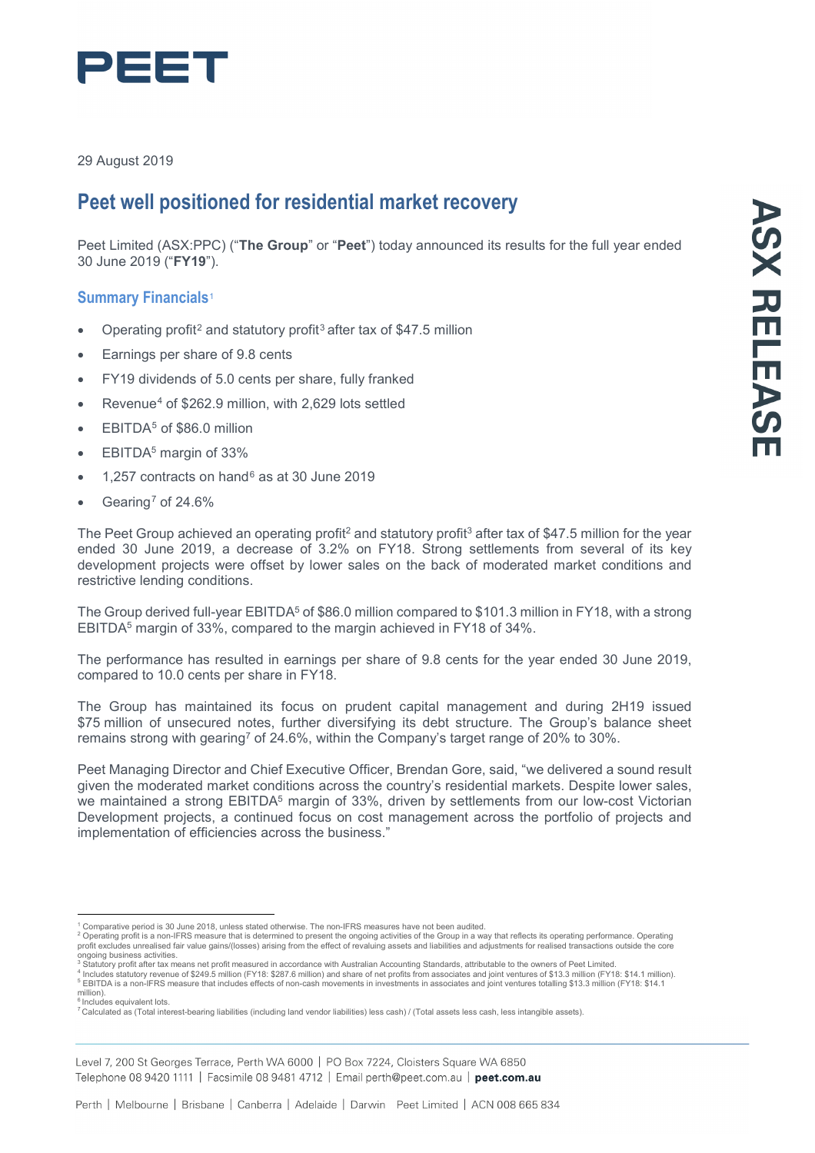

29 August 2019

# **Peet well positioned for residential market recovery**

Peet Limited (ASX:PPC) ("**The Group**" or "**Peet**") today announced its results for the full year ended 30 June 2019 ("**FY19**").

## **Summary Financials**[1](#page-0-0)

- Operating profit<sup>[2](#page-0-1)</sup> and statutory profit<sup>[3](#page-0-2)</sup> after tax of \$47.5 million
- Earnings per share of 9.8 cents
- FY19 dividends of 5.0 cents per share, fully franked
- Revenue<sup>[4](#page-0-3)</sup> of \$262.9 million, with 2,629 lots settled
- EBITDA<sup>[5](#page-0-4)</sup> of \$86.0 million
- EBITDA<sup>5</sup> margin of 33%
- 1,257 contracts on hand  $6$  as at 30 June 2019
- Gearing<sup>[7](#page-0-6)</sup> of 24.6%

The Peet Group achieved an operating profit<sup>2</sup> and statutory profit<sup>3</sup> after tax of \$47.5 million for the year ended 30 June 2019, a decrease of 3.2% on FY18. Strong settlements from several of its key development projects were offset by lower sales on the back of moderated market conditions and restrictive lending conditions.

The Group derived full-year EBITDA<sup>5</sup> of \$86.0 million compared to \$101.3 million in FY18, with a strong EBITDA5 margin of 33%, compared to the margin achieved in FY18 of 34%.

The performance has resulted in earnings per share of 9.8 cents for the year ended 30 June 2019, compared to 10.0 cents per share in FY18.

The Group has maintained its focus on prudent capital management and during 2H19 issued \$75 million of unsecured notes, further diversifying its debt structure. The Group's balance sheet remains strong with gearing7 of 24.6%, within the Company's target range of 20% to 30%.

Peet Managing Director and Chief Executive Officer, Brendan Gore, said, "we delivered a sound result given the moderated market conditions across the country's residential markets. Despite lower sales, we maintained a strong EBITDA<sup>5</sup> margin of 33%, driven by settlements from our low-cost Victorian Development projects, a continued focus on cost management across the portfolio of projects and implementation of efficiencies across the business."

<span id="page-0-4"></span> $^\mathrm{i}$ Inclu $\acute{\mathrm{d}}$ es equivalent lots

<span id="page-0-1"></span><span id="page-0-0"></span>

<sup>&</sup>lt;sup>1</sup> Comparative period is 30 June 2018, unless stated otherwise. The non-IFRS measures have not been audited.<br><sup>2</sup> Operating profit is a non-IFRS measure that is determined to present the ongoing activities of the Group in

<span id="page-0-3"></span>

<span id="page-0-2"></span>ongoing business activities.<br><sup>3</sup> Statutory profit after tax means net profit measured in accordance with Australian Accounting Standards, attributable to the owners of Peet Limited.<br><sup>4</sup> Includes statutory revenue of \$249.5

<span id="page-0-6"></span><span id="page-0-5"></span><sup>7</sup> Calculated as (Total interest-bearing liabilities (including land vendor liabilities) less cash) / (Total assets less cash, less intangible assets).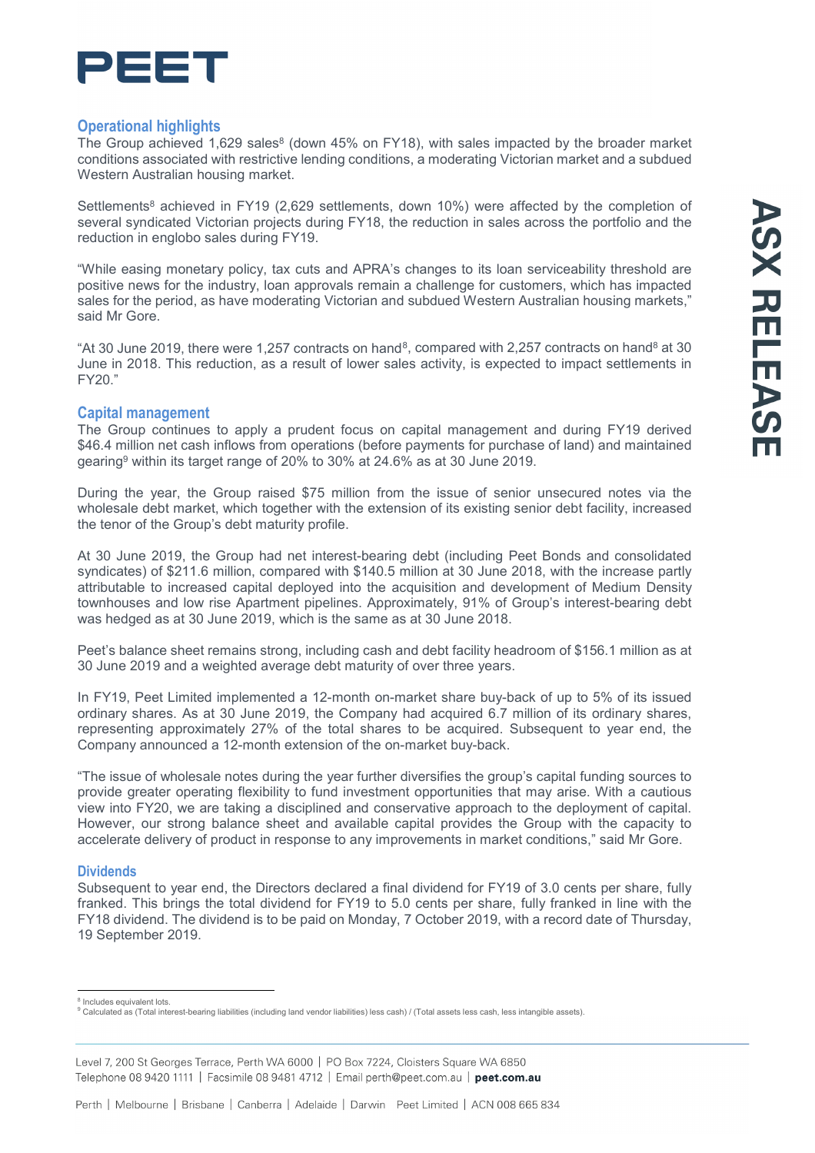

## **Operational highlights**

The Group achieved 1,629 sales<sup>8</sup> (down 45% on FY18), with sales impacted by the broader market conditions associated with restrictive lending conditions, a moderating Victorian market and a subdued Western Australian housing market.

Settlements<sup>8</sup> achieved in FY19 (2,629 settlements, down 10%) were affected by the completion of several syndicated Victorian projects during FY18, the reduction in sales across the portfolio and the reduction in englobo sales during FY19.

"While easing monetary policy, tax cuts and APRA's changes to its loan serviceability threshold are positive news for the industry, loan approvals remain a challenge for customers, which has impacted sales for the period, as have moderating Victorian and subdued Western Australian housing markets," said Mr Gore.

"At 30 June 2019, there were 1,257 contracts on hand<sup>8</sup>, compared with 2,257 contracts on hand<sup>8</sup> at 30 June in 2018. This reduction, as a result of lower sales activity, is expected to impact settlements in FY20."

## **Capital management**

The Group continues to apply a prudent focus on capital management and during FY19 derived \$46.4 million net cash inflows from operations (before payments for purchase of land) and maintained gearing9 within its target range of 20% to 30% at 24.6% as at 30 June 2019.

During the year, the Group raised \$75 million from the issue of senior unsecured notes via the wholesale debt market, which together with the extension of its existing senior debt facility, increased the tenor of the Group's debt maturity profile.

At 30 June 2019, the Group had net interest-bearing debt (including Peet Bonds and consolidated syndicates) of \$211.6 million, compared with \$140.5 million at 30 June 2018, with the increase partly attributable to increased capital deployed into the acquisition and development of Medium Density townhouses and low rise Apartment pipelines. Approximately, 91% of Group's interest-bearing debt was hedged as at 30 June 2019, which is the same as at 30 June 2018.

Peet's balance sheet remains strong, including cash and debt facility headroom of \$156.1 million as at 30 June 2019 and a weighted average debt maturity of over three years.

In FY19, Peet Limited implemented a 12-month on-market share buy-back of up to 5% of its issued ordinary shares. As at 30 June 2019, the Company had acquired 6.7 million of its ordinary shares, representing approximately 27% of the total shares to be acquired. Subsequent to year end, the Company announced a 12-month extension of the on-market buy-back.

"The issue of wholesale notes during the year further diversifies the group's capital funding sources to provide greater operating flexibility to fund investment opportunities that may arise. With a cautious view into FY20, we are taking a disciplined and conservative approach to the deployment of capital. However, our strong balance sheet and available capital provides the Group with the capacity to accelerate delivery of product in response to any improvements in market conditions," said Mr Gore.

### **Dividends**

Subsequent to year end, the Directors declared a final dividend for FY19 of 3.0 cents per share, fully franked. This brings the total dividend for FY19 to 5.0 cents per share, fully franked in line with the FY18 dividend. The dividend is to be paid on Monday, 7 October 2019, with a record date of Thursday, 19 September 2019.

Level 7, 200 St Georges Terrace, Perth WA 6000 | PO Box 7224, Cloisters Square WA 6850 Telephone 08 9420 1111 | Facsimile 08 9481 4712 | Email perth@peet.com.au | peet.com.au

<span id="page-1-0"></span><sup>&</sup>lt;sup>8</sup> Includes equivalent lots.<br><sup>9</sup> Calculated as (Total interest-bearing liabilities (including land vendor liabilities) less cash) / (Total assets less cash, less intangible assets).